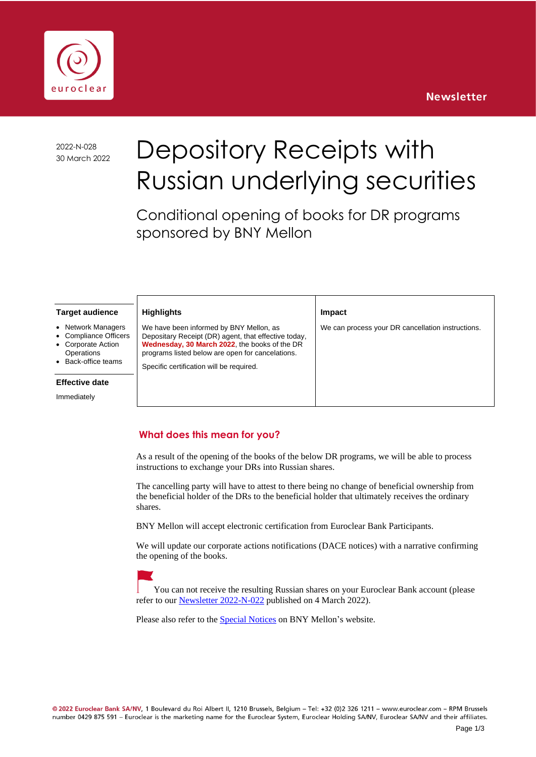



2022-N-028

# 2022-N-028 Depository Receipts with Russian underlying securities

Conditional opening of books for DR programs sponsored by BNY Mellon

**Impact**

We can process your DR cancellation instructions.

#### **Target audience**

- **Network Managers**
- Compliance Officers
- Corporate Action
- **Operations** • Back-office teams

#### **Effective date**

Immediately

## **Highlights**

We have been informed by BNY Mellon, as Depositary Receipt (DR) agent, that effective today, **Wednesday, 30 March 2022**, the books of the DR programs listed below are open for cancelations.

Specific certification will be required.

#### **What does this mean for you?**

As a result of the opening of the books of the below DR programs, we will be able to process instructions to exchange your DRs into Russian shares.

The cancelling party will have to attest to there being no change of beneficial ownership from the beneficial holder of the DRs to the beneficial holder that ultimately receives the ordinary shares.

BNY Mellon will accept electronic certification from Euroclear Bank Participants.

We will update our corporate actions notifications (DACE notices) with a narrative confirming the opening of the books.



You can not receive the resulting Russian shares on your Euroclear Bank account (please refer to our [Newsletter 2022-N-022](https://www.euroclear.com/content/dam/euroclear/operational-public/eb/newsletters/2022/2022-N-022.pdf) published on 4 March 2022).

Please also refer to the [Special Notices](https://www.euroclear.com/content/dam/euroclear/operational-public/eb/other-documents/al991925.pdf) on BNY Mellon's website.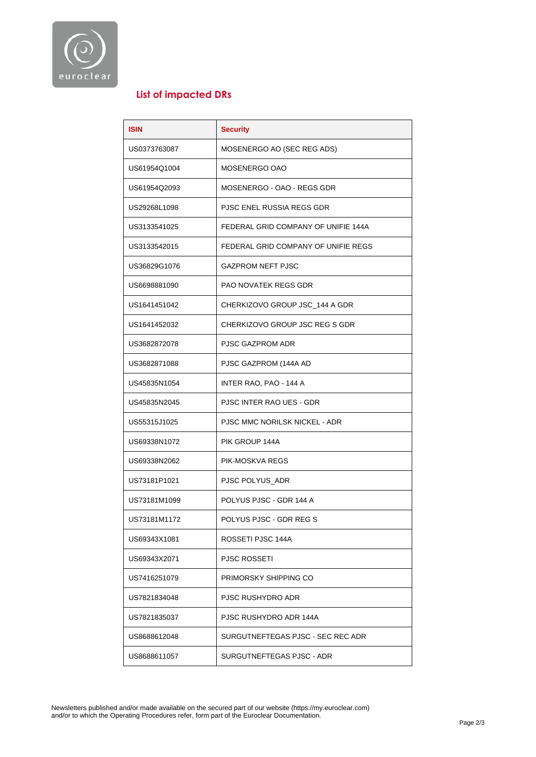

### **List of impacted DRs**

| <b>ISIN</b>  | <b>Security</b>                     |  |
|--------------|-------------------------------------|--|
| US0373763087 | MOSENERGO AO (SEC REG ADS)          |  |
| US61954Q1004 | MOSENERGO OAO                       |  |
| US61954Q2093 | MOSENERGO - OAO - REGS GDR          |  |
| US29268L1098 | PJSC ENEL RUSSIA REGS GDR           |  |
| US3133541025 | FEDERAL GRID COMPANY OF UNIFIE 144A |  |
| US3133542015 | FEDERAL GRID COMPANY OF UNIFIE REGS |  |
| US36829G1076 | <b>GAZPROM NEFT PJSC</b>            |  |
| US6698881090 | PAO NOVATEK REGS GDR                |  |
| US1641451042 | CHERKIZOVO GROUP JSC_144 A GDR      |  |
| US1641452032 | CHERKIZOVO GROUP JSC REG S GDR      |  |
| US3682872078 | PJSC GAZPROM ADR                    |  |
| US3682871088 | PJSC GAZPROM (144A AD               |  |
| US45835N1054 | INTER RAO, PAO - 144 A              |  |
| US45835N2045 | PJSC INTER RAO UES - GDR            |  |
| US55315J1025 | PJSC MMC NORILSK NICKEL - ADR       |  |
| US69338N1072 | PIK GROUP 144A                      |  |
| US69338N2062 | PIK-MOSKVA REGS                     |  |
| US73181P1021 | PJSC POLYUS ADR                     |  |
| US73181M1099 | POLYUS PJSC - GDR 144 A             |  |
| US73181M1172 | POLYUS PJSC - GDR REG S             |  |
| US69343X1081 | ROSSETI PJSC 144A                   |  |
| US69343X2071 | PJSC ROSSETI                        |  |
| US7416251079 | PRIMORSKY SHIPPING CO               |  |
| US7821834048 | PJSC RUSHYDRO ADR                   |  |
| US7821835037 | PJSC RUSHYDRO ADR 144A              |  |
| US8688612048 | SURGUTNEFTEGAS PJSC - SEC REC ADR   |  |
| US8688611057 | SURGUTNEFTEGAS PJSC - ADR           |  |